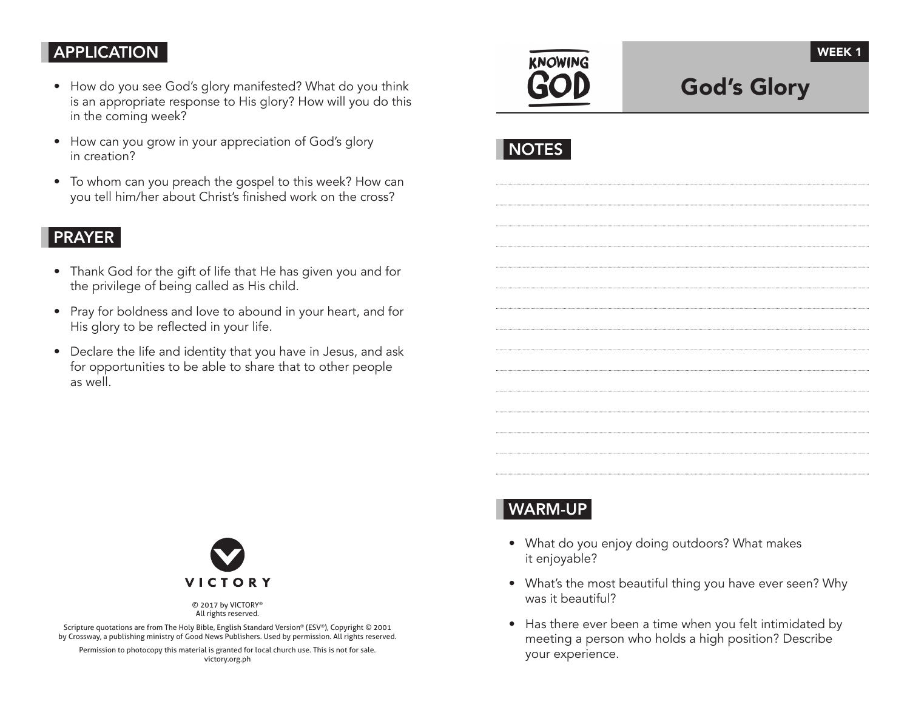# APPLICATION

- How do you see God's glory manifested? What do you think is an appropriate response to His glory? How will you do this in the coming week?
- How can you grow in your appreciation of God's glory in creation?
- To whom can you preach the gospel to this week? How can you tell him/her about Christ's finished work on the cross?

## PRAYER

- Thank God for the gift of life that He has given you and for the privilege of being called as His child.
- Pray for boldness and love to abound in your heart, and for His glory to be reflected in your life.
- Declare the life and identity that you have in Jesus, and ask for opportunities to be able to share that to other people as well.



God's Glory

| c.<br>v<br>and the state of the state of the state of the state of the state of the state of the state of the state of th |
|---------------------------------------------------------------------------------------------------------------------------|
|---------------------------------------------------------------------------------------------------------------------------|



© 2017 by VICTORY® All rights reserved.

Scripture quotations are from The Holy Bible, English Standard Version® (ESV®), Copyright © 2001 by Crossway, a publishing ministry of Good News Publishers. Used by permission. All rights reserved.

Permission to photocopy this material is granted for local church use. This is not for sale. victory.org.ph

# WARM-UP

- What do you enjoy doing outdoors? What makes it enjoyable?
- What's the most beautiful thing you have ever seen? Why was it beautiful?
- Has there ever been a time when you felt intimidated by meeting a person who holds a high position? Describe your experience.

WEEK 1